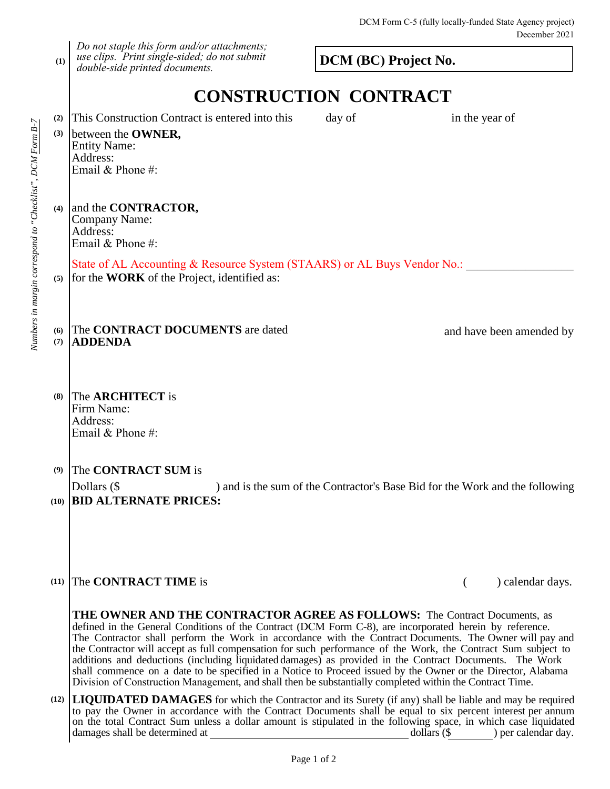**(1)** *Do not staple this form and/or attachments; use clips. Print single-sided; do not submit double-side printed documents.*

**DCM (BC) Project No.**

## **CONSTRUCTION CONTRACT**

| (2)<br>(3) | This Construction Contract is entered into this<br>between the <b>OWNER</b> ,<br><b>Entity Name:</b><br>Address:<br>Email & Phone #:                                                                                                                                                                                                                                                                                                                                                                                        | day of                                                                       | in the year of |                          |  |
|------------|-----------------------------------------------------------------------------------------------------------------------------------------------------------------------------------------------------------------------------------------------------------------------------------------------------------------------------------------------------------------------------------------------------------------------------------------------------------------------------------------------------------------------------|------------------------------------------------------------------------------|----------------|--------------------------|--|
| (4)        | and the <b>CONTRACTOR</b> ,<br>Company Name:<br>Address:<br>Email & Phone #:                                                                                                                                                                                                                                                                                                                                                                                                                                                |                                                                              |                |                          |  |
| (5)        | State of AL Accounting & Resource System (STAARS) or AL Buys Vendor No.:<br>for the <b>WORK</b> of the Project, identified as:                                                                                                                                                                                                                                                                                                                                                                                              |                                                                              |                |                          |  |
| (6)<br>(7) | The CONTRACT DOCUMENTS are dated<br><b>ADDENDA</b>                                                                                                                                                                                                                                                                                                                                                                                                                                                                          |                                                                              |                | and have been amended by |  |
| (8)        | The <b>ARCHITECT</b> is<br>Firm Name:<br>Address:<br>Email & Phone #:                                                                                                                                                                                                                                                                                                                                                                                                                                                       |                                                                              |                |                          |  |
| (9)        | The <b>CONTRACT SUM</b> is<br>Dollars (\$<br>(10) <b>BID ALTERNATE PRICES:</b>                                                                                                                                                                                                                                                                                                                                                                                                                                              | ) and is the sum of the Contractor's Base Bid for the Work and the following |                |                          |  |
| (11)       | The <b>CONTRACT TIME</b> is                                                                                                                                                                                                                                                                                                                                                                                                                                                                                                 |                                                                              | €              | ) calendar days.         |  |
|            | THE OWNER AND THE CONTRACTOR AGREE AS FOLLOWS: The Contract Documents, as<br>defined in the General Conditions of the Contract (DCM Form C-8), are incorporated herein by reference.<br>The Contractor shall perform the Work in accordance with the Contract Documents. The Owner will pay and<br>the Contractor will accept as full compensation for such performance of the Work, the Contract Sum subject to<br>additions and deductions (including liquidated damages) as provided in the Contract Documents. The Work |                                                                              |                |                          |  |

**(12) LIQUIDATED DAMAGES** for which the Contractor and its Surety (if any) shall be liable and may be required Division of Construction Management, and shall then be substantially completed within the Contract Time. to pay the Owner in accordance with the Contract Documents shall be equal to six percent interest per annum on the total Contract Sum unless a dollar amount is stipulated in the following space, in which case liquidated damages shall be determined at dollars (\$ ) per calendar day.

shall commence on a date to be specified in a Notice to Proceed issued by the Owner or the Director, Alabama